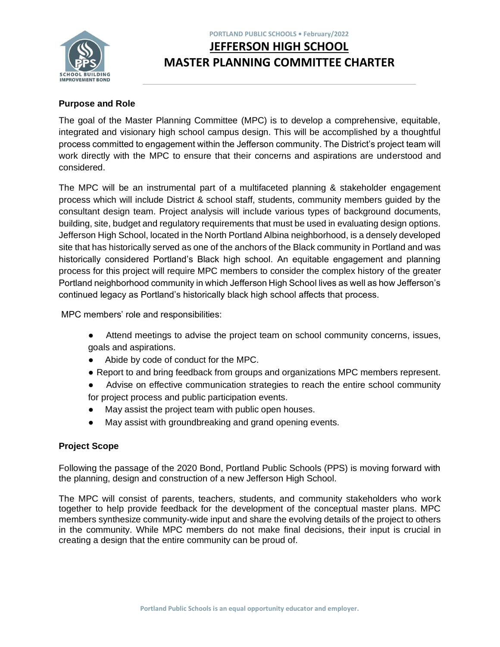

# **PORTLAND PUBLIC SCHOOLS • February/2022 JEFFERSON HIGH SCHOOL MASTER PLANNING COMMITTEE CHARTER**

## **Purpose and Role**

The goal of the Master Planning Committee (MPC) is to develop a comprehensive, equitable, integrated and visionary high school campus design. This will be accomplished by a thoughtful process committed to engagement within the Jefferson community. The District's project team will work directly with the MPC to ensure that their concerns and aspirations are understood and considered.

The MPC will be an instrumental part of a multifaceted planning & stakeholder engagement process which will include District & school staff, students, community members guided by the consultant design team. Project analysis will include various types of background documents, building, site, budget and regulatory requirements that must be used in evaluating design options. Jefferson High School, located in the North Portland Albina neighborhood, is a densely developed site that has historically served as one of the anchors of the Black community in Portland and was historically considered Portland's Black high school. An equitable engagement and planning process for this project will require MPC members to consider the complex history of the greater Portland neighborhood community in which Jefferson High School lives as well as how Jefferson's continued legacy as Portland's historically black high school affects that process.

MPC members' role and responsibilities:

- Attend meetings to advise the project team on school community concerns, issues, goals and aspirations.
- Abide by code of conduct for the MPC.
- Report to and bring feedback from groups and organizations MPC members represent.
- Advise on effective communication strategies to reach the entire school community for project process and public participation events.
- May assist the project team with public open houses.
- May assist with groundbreaking and grand opening events.

### **Project Scope**

Following the passage of the 2020 Bond, Portland Public Schools (PPS) is moving forward with the planning, design and construction of a new Jefferson High School.

The MPC will consist of parents, teachers, students, and community stakeholders who work together to help provide feedback for the development of the conceptual master plans. MPC members synthesize community-wide input and share the evolving details of the project to others in the community. While MPC members do not make final decisions, their input is crucial in creating a design that the entire community can be proud of.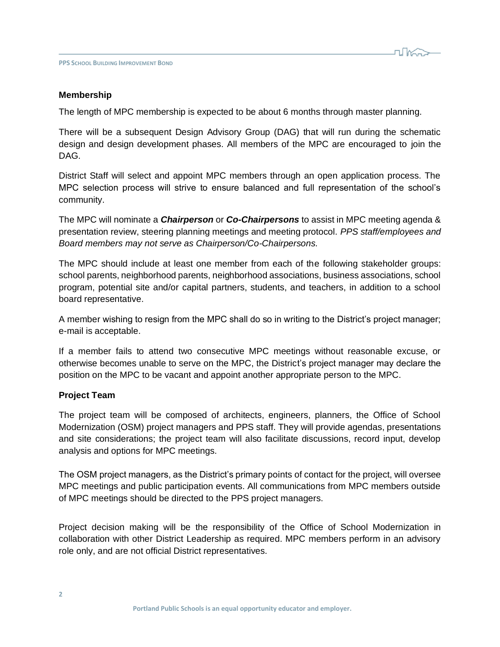

#### **Membership**

The length of MPC membership is expected to be about 6 months through master planning.

There will be a subsequent Design Advisory Group (DAG) that will run during the schematic design and design development phases. All members of the MPC are encouraged to join the DAG.

District Staff will select and appoint MPC members through an open application process. The MPC selection process will strive to ensure balanced and full representation of the school's community.

The MPC will nominate a *Chairperson* or *Co-Chairpersons* to assist in MPC meeting agenda & presentation review, steering planning meetings and meeting protocol. *PPS staff/employees and Board members may not serve as Chairperson/Co-Chairpersons.*

The MPC should include at least one member from each of the following stakeholder groups: school parents, neighborhood parents, neighborhood associations, business associations, school program, potential site and/or capital partners, students, and teachers, in addition to a school board representative.

A member wishing to resign from the MPC shall do so in writing to the District's project manager; e-mail is acceptable.

If a member fails to attend two consecutive MPC meetings without reasonable excuse, or otherwise becomes unable to serve on the MPC, the District's project manager may declare the position on the MPC to be vacant and appoint another appropriate person to the MPC.

#### **Project Team**

The project team will be composed of architects, engineers, planners, the Office of School Modernization (OSM) project managers and PPS staff. They will provide agendas, presentations and site considerations; the project team will also facilitate discussions, record input, develop analysis and options for MPC meetings.

The OSM project managers, as the District's primary points of contact for the project, will oversee MPC meetings and public participation events. All communications from MPC members outside of MPC meetings should be directed to the PPS project managers.

Project decision making will be the responsibility of the Office of School Modernization in collaboration with other District Leadership as required. MPC members perform in an advisory role only, and are not official District representatives.